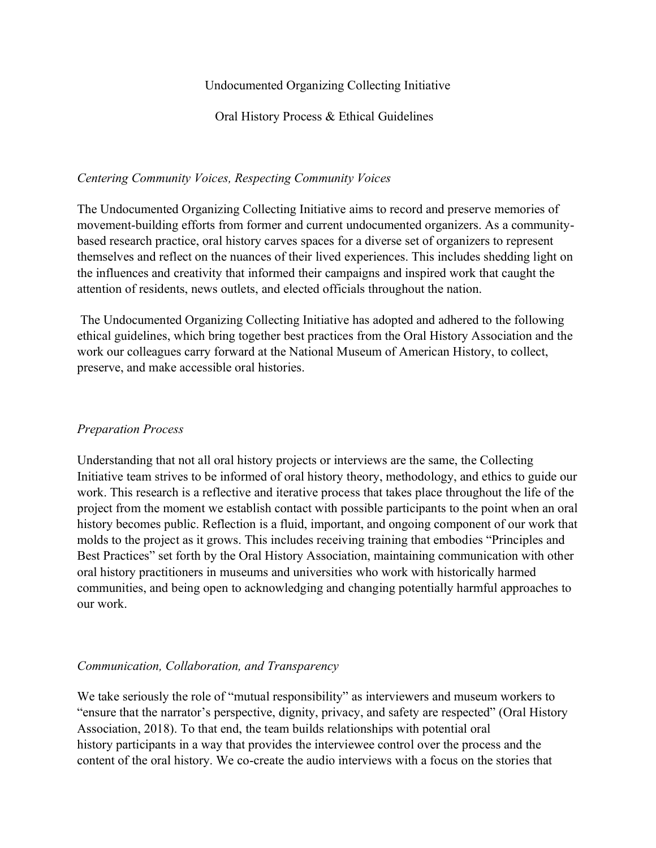### Undocumented Organizing Collecting Initiative

Oral History Process & Ethical Guidelines

## *Centering Community Voices, Respecting Community Voices*

The Undocumented Organizing Collecting Initiative aims to record and preserve memories of movement-building efforts from former and current undocumented organizers. As a communitybased research practice, oral history carves spaces for a diverse set of organizers to represent themselves and reflect on the nuances of their lived experiences. This includes shedding light on the influences and creativity that informed their campaigns and inspired work that caught the attention of residents, news outlets, and elected officials throughout the nation.

The Undocumented Organizing Collecting Initiative has adopted and adhered to the following ethical guidelines, which bring together best practices from the Oral History Association and the work our colleagues carry forward at the National Museum of American History, to collect, preserve, and make accessible oral histories.

## *Preparation Process*

Understanding that not all oral history projects or interviews are the same, the Collecting Initiative team strives to be informed of oral history theory, methodology, and ethics to guide our work. This research is a reflective and iterative process that takes place throughout the life of the project from the moment we establish contact with possible participants to the point when an oral history becomes public. Reflection is a fluid, important, and ongoing component of our work that molds to the project as it grows. This includes receiving training that embodies "Principles and Best Practices" set forth by the Oral History Association, maintaining communication with other oral history practitioners in museums and universities who work with historically harmed communities, and being open to acknowledging and changing potentially harmful approaches to our work.

# *Communication, Collaboration, and Transparency*

We take seriously the role of "mutual responsibility" as interviewers and museum workers to "ensure that the narrator's perspective, dignity, privacy, and safety are respected" (Oral History Association, 2018). To that end, the team builds relationships with potential oral history participants in a way that provides the interviewee control over the process and the content of the oral history. We co-create the audio interviews with a focus on the stories that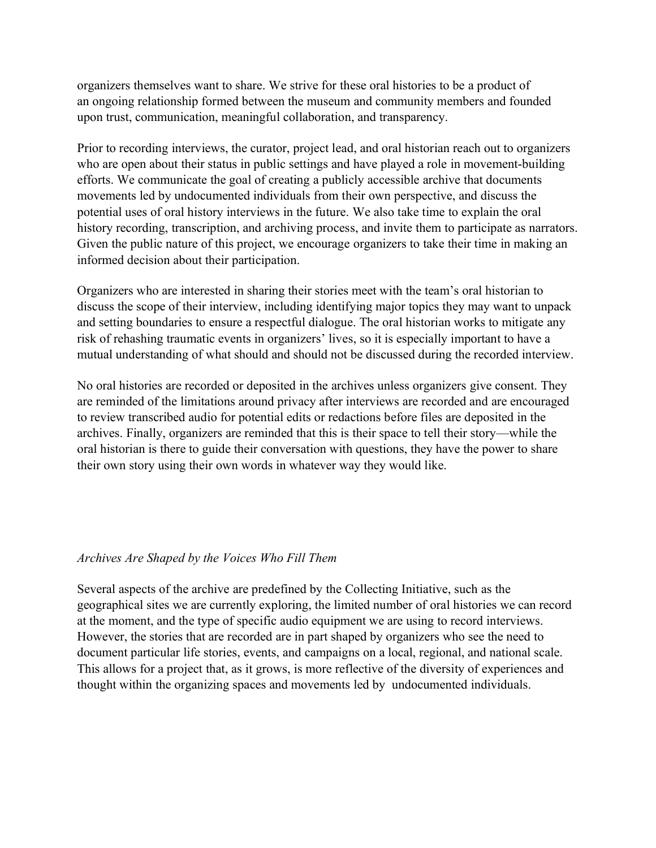organizers themselves want to share. We strive for these oral histories to be a product of an ongoing relationship formed between the museum and community members and founded upon trust, communication, meaningful collaboration, and transparency.

Prior to recording interviews, the curator, project lead, and oral historian reach out to organizers who are open about their status in public settings and have played a role in movement-building efforts. We communicate the goal of creating a publicly accessible archive that documents movements led by undocumented individuals from their own perspective, and discuss the potential uses of oral history interviews in the future. We also take time to explain the oral history recording, transcription, and archiving process, and invite them to participate as narrators. Given the public nature of this project, we encourage organizers to take their time in making an informed decision about their participation.

Organizers who are interested in sharing their stories meet with the team's oral historian to discuss the scope of their interview, including identifying major topics they may want to unpack and setting boundaries to ensure a respectful dialogue. The oral historian works to mitigate any risk of rehashing traumatic events in organizers' lives, so it is especially important to have a mutual understanding of what should and should not be discussed during the recorded interview.

No oral histories are recorded or deposited in the archives unless organizers give consent. They are reminded of the limitations around privacy after interviews are recorded and are encouraged to review transcribed audio for potential edits or redactions before files are deposited in the archives. Finally, organizers are reminded that this is their space to tell their story—while the oral historian is there to guide their conversation with questions, they have the power to share their own story using their own words in whatever way they would like.

#### *Archives Are Shaped by the Voices Who Fill Them*

Several aspects of the archive are predefined by the Collecting Initiative, such as the geographical sites we are currently exploring, the limited number of oral histories we can record at the moment, and the type of specific audio equipment we are using to record interviews. However, the stories that are recorded are in part shaped by organizers who see the need to document particular life stories, events, and campaigns on a local, regional, and national scale. This allows for a project that, as it grows, is more reflective of the diversity of experiences and thought within the organizing spaces and movements led by undocumented individuals.